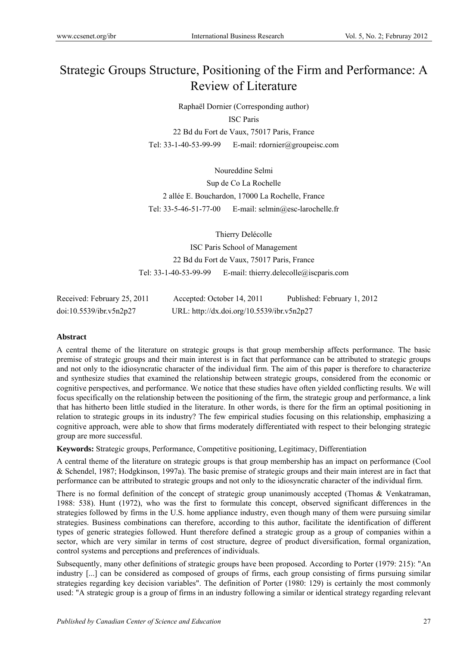# Strategic Groups Structure, Positioning of the Firm and Performance: A Review of Literature

Raphaël Dornier (Corresponding author) ISC Paris 22 Bd du Fort de Vaux, 75017 Paris, France Tel: 33-1-40-53-99-99 E-mail: rdornier@groupeisc.com

Noureddine Selmi Sup de Co La Rochelle 2 allée E. Bouchardon, 17000 La Rochelle, France Tel: 33-5-46-51-77-00 E-mail: selmin@esc-larochelle.fr

Thierry Delécolle ISC Paris School of Management 22 Bd du Fort de Vaux, 75017 Paris, France Tel: 33-1-40-53-99-99 E-mail: thierry.delecolle@iscparis.com

| Received: February 25, 2011 | Accepted: October 14, 2011                 | Published: February 1, 2012 |
|-----------------------------|--------------------------------------------|-----------------------------|
| doi:10.5539/ibr.v5n2p27     | URL: http://dx.doi.org/10.5539/ibr.v5n2p27 |                             |

#### **Abstract**

A central theme of the literature on strategic groups is that group membership affects performance. The basic premise of strategic groups and their main interest is in fact that performance can be attributed to strategic groups and not only to the idiosyncratic character of the individual firm. The aim of this paper is therefore to characterize and synthesize studies that examined the relationship between strategic groups, considered from the economic or cognitive perspectives, and performance. We notice that these studies have often yielded conflicting results. We will focus specifically on the relationship between the positioning of the firm, the strategic group and performance, a link that has hitherto been little studied in the literature. In other words, is there for the firm an optimal positioning in relation to strategic groups in its industry? The few empirical studies focusing on this relationship, emphasizing a cognitive approach, were able to show that firms moderately differentiated with respect to their belonging strategic group are more successful.

**Keywords:** Strategic groups, Performance, Competitive positioning, Legitimacy, Differentiation

A central theme of the literature on strategic groups is that group membership has an impact on performance (Cool & Schendel, 1987; Hodgkinson, 1997a). The basic premise of strategic groups and their main interest are in fact that performance can be attributed to strategic groups and not only to the idiosyncratic character of the individual firm.

There is no formal definition of the concept of strategic group unanimously accepted (Thomas & Venkatraman, 1988: 538). Hunt (1972), who was the first to formulate this concept, observed significant differences in the strategies followed by firms in the U.S. home appliance industry, even though many of them were pursuing similar strategies. Business combinations can therefore, according to this author, facilitate the identification of different types of generic strategies followed. Hunt therefore defined a strategic group as a group of companies within a sector, which are very similar in terms of cost structure, degree of product diversification, formal organization, control systems and perceptions and preferences of individuals.

Subsequently, many other definitions of strategic groups have been proposed. According to Porter (1979: 215): "An industry [...] can be considered as composed of groups of firms, each group consisting of firms pursuing similar strategies regarding key decision variables". The definition of Porter (1980: 129) is certainly the most commonly used: "A strategic group is a group of firms in an industry following a similar or identical strategy regarding relevant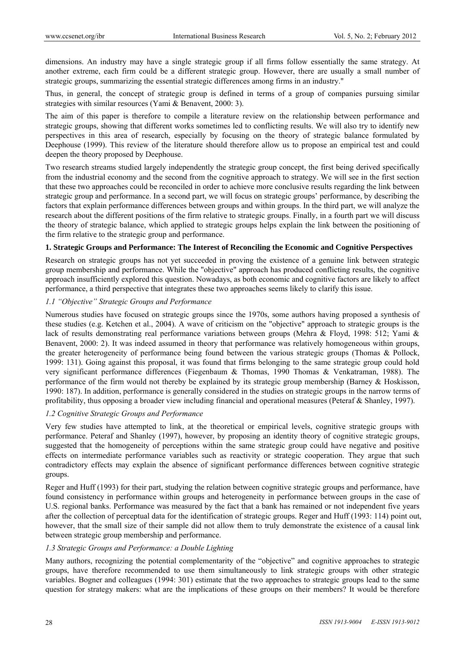dimensions. An industry may have a single strategic group if all firms follow essentially the same strategy. At another extreme, each firm could be a different strategic group. However, there are usually a small number of strategic groups, summarizing the essential strategic differences among firms in an industry."

Thus, in general, the concept of strategic group is defined in terms of a group of companies pursuing similar strategies with similar resources (Yami & Benavent, 2000: 3).

The aim of this paper is therefore to compile a literature review on the relationship between performance and strategic groups, showing that different works sometimes led to conflicting results. We will also try to identify new perspectives in this area of research, especially by focusing on the theory of strategic balance formulated by Deephouse (1999). This review of the literature should therefore allow us to propose an empirical test and could deepen the theory proposed by Deephouse.

Two research streams studied largely independently the strategic group concept, the first being derived specifically from the industrial economy and the second from the cognitive approach to strategy. We will see in the first section that these two approaches could be reconciled in order to achieve more conclusive results regarding the link between strategic group and performance. In a second part, we will focus on strategic groups' performance, by describing the factors that explain performance differences between groups and within groups. In the third part, we will analyze the research about the different positions of the firm relative to strategic groups. Finally, in a fourth part we will discuss the theory of strategic balance, which applied to strategic groups helps explain the link between the positioning of the firm relative to the strategic group and performance.

#### **1. Strategic Groups and Performance: The Interest of Reconciling the Economic and Cognitive Perspectives**

Research on strategic groups has not yet succeeded in proving the existence of a genuine link between strategic group membership and performance. While the "objective" approach has produced conflicting results, the cognitive approach insufficiently explored this question. Nowadays, as both economic and cognitive factors are likely to affect performance, a third perspective that integrates these two approaches seems likely to clarify this issue.

# *1.1 "Objective" Strategic Groups and Performance*

Numerous studies have focused on strategic groups since the 1970s, some authors having proposed a synthesis of these studies (e.g. Ketchen et al., 2004). A wave of criticism on the "objective" approach to strategic groups is the lack of results demonstrating real performance variations between groups (Mehra & Floyd, 1998: 512; Yami & Benavent, 2000: 2). It was indeed assumed in theory that performance was relatively homogeneous within groups, the greater heterogeneity of performance being found between the various strategic groups (Thomas & Pollock, 1999: 131). Going against this proposal, it was found that firms belonging to the same strategic group could hold very significant performance differences (Fiegenbaum & Thomas, 1990 Thomas & Venkatraman, 1988). The performance of the firm would not thereby be explained by its strategic group membership (Barney & Hoskisson, 1990: 187). In addition, performance is generally considered in the studies on strategic groups in the narrow terms of profitability, thus opposing a broader view including financial and operational measures (Peteraf & Shanley, 1997).

#### *1.2 Cognitive Strategic Groups and Performance*

Very few studies have attempted to link, at the theoretical or empirical levels, cognitive strategic groups with performance. Peteraf and Shanley (1997), however, by proposing an identity theory of cognitive strategic groups, suggested that the homogeneity of perceptions within the same strategic group could have negative and positive effects on intermediate performance variables such as reactivity or strategic cooperation. They argue that such contradictory effects may explain the absence of significant performance differences between cognitive strategic groups.

Reger and Huff (1993) for their part, studying the relation between cognitive strategic groups and performance, have found consistency in performance within groups and heterogeneity in performance between groups in the case of U.S. regional banks. Performance was measured by the fact that a bank has remained or not independent five years after the collection of perceptual data for the identification of strategic groups. Reger and Huff (1993: 114) point out, however, that the small size of their sample did not allow them to truly demonstrate the existence of a causal link between strategic group membership and performance.

# *1.3 Strategic Groups and Performance: a Double Lighting*

Many authors, recognizing the potential complementarity of the "objective" and cognitive approaches to strategic groups, have therefore recommended to use them simultaneously to link strategic groups with other strategic variables. Bogner and colleagues (1994: 301) estimate that the two approaches to strategic groups lead to the same question for strategy makers: what are the implications of these groups on their members? It would be therefore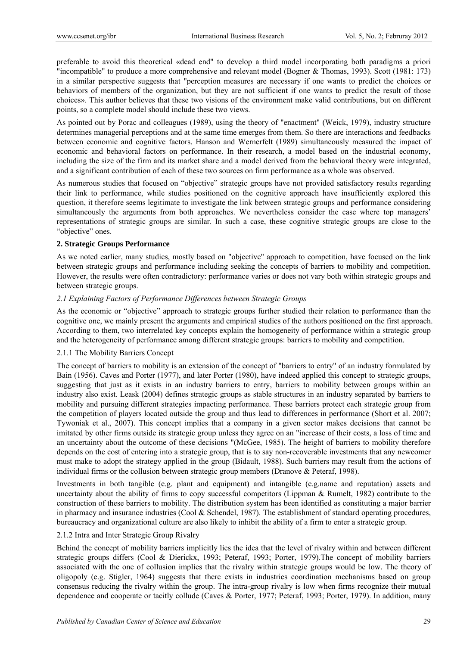preferable to avoid this theoretical «dead end" to develop a third model incorporating both paradigms a priori "incompatible" to produce a more comprehensive and relevant model (Bogner & Thomas, 1993). Scott (1981: 173) in a similar perspective suggests that "perception measures are necessary if one wants to predict the choices or behaviors of members of the organization, but they are not sufficient if one wants to predict the result of those choices». This author believes that these two visions of the environment make valid contributions, but on different points, so a complete model should include these two views.

As pointed out by Porac and colleagues (1989), using the theory of "enactment" (Weick, 1979), industry structure determines managerial perceptions and at the same time emerges from them. So there are interactions and feedbacks between economic and cognitive factors. Hanson and Wernerfelt (1989) simultaneously measured the impact of economic and behavioral factors on performance. In their research, a model based on the industrial economy, including the size of the firm and its market share and a model derived from the behavioral theory were integrated, and a significant contribution of each of these two sources on firm performance as a whole was observed.

As numerous studies that focused on "objective" strategic groups have not provided satisfactory results regarding their link to performance, while studies positioned on the cognitive approach have insufficiently explored this question, it therefore seems legitimate to investigate the link between strategic groups and performance considering simultaneously the arguments from both approaches. We nevertheless consider the case where top managers' representations of strategic groups are similar. In such a case, these cognitive strategic groups are close to the "objective" ones.

#### **2. Strategic Groups Performance**

As we noted earlier, many studies, mostly based on "objective" approach to competition, have focused on the link between strategic groups and performance including seeking the concepts of barriers to mobility and competition. However, the results were often contradictory: performance varies or does not vary both within strategic groups and between strategic groups.

#### *2.1 Explaining Factors of Performance Differences between Strategic Groups*

As the economic or "objective" approach to strategic groups further studied their relation to performance than the cognitive one, we mainly present the arguments and empirical studies of the authors positioned on the first approach. According to them, two interrelated key concepts explain the homogeneity of performance within a strategic group and the heterogeneity of performance among different strategic groups: barriers to mobility and competition.

#### 2.1.1 The Mobility Barriers Concept

The concept of barriers to mobility is an extension of the concept of "barriers to entry" of an industry formulated by Bain (1956). Caves and Porter (1977), and later Porter (1980), have indeed applied this concept to strategic groups, suggesting that just as it exists in an industry barriers to entry, barriers to mobility between groups within an industry also exist. Leask (2004) defines strategic groups as stable structures in an industry separated by barriers to mobility and pursuing different strategies impacting performance. These barriers protect each strategic group from the competition of players located outside the group and thus lead to differences in performance (Short et al. 2007; Tywoniak et al., 2007). This concept implies that a company in a given sector makes decisions that cannot be imitated by other firms outside its strategic group unless they agree on an "increase of their costs, a loss of time and an uncertainty about the outcome of these decisions "(McGee, 1985). The height of barriers to mobility therefore depends on the cost of entering into a strategic group, that is to say non-recoverable investments that any newcomer must make to adopt the strategy applied in the group (Bidault, 1988). Such barriers may result from the actions of individual firms or the collusion between strategic group members (Dranove & Peteraf, 1998).

Investments in both tangible (e.g. plant and equipment) and intangible (e.g.name and reputation) assets and uncertainty about the ability of firms to copy successful competitors (Lippman  $\&$  Rumelt, 1982) contribute to the construction of these barriers to mobility. The distribution system has been identified as constituting a major barrier in pharmacy and insurance industries (Cool & Schendel, 1987). The establishment of standard operating procedures, bureaucracy and organizational culture are also likely to inhibit the ability of a firm to enter a strategic group.

#### 2.1.2 Intra and Inter Strategic Group Rivalry

Behind the concept of mobility barriers implicitly lies the idea that the level of rivalry within and between different strategic groups differs (Cool & Dierickx, 1993; Peteraf, 1993; Porter, 1979).The concept of mobility barriers associated with the one of collusion implies that the rivalry within strategic groups would be low. The theory of oligopoly (e.g. Stigler, 1964) suggests that there exists in industries coordination mechanisms based on group consensus reducing the rivalry within the group. The intra-group rivalry is low when firms recognize their mutual dependence and cooperate or tacitly collude (Caves & Porter, 1977; Peteraf, 1993; Porter, 1979). In addition, many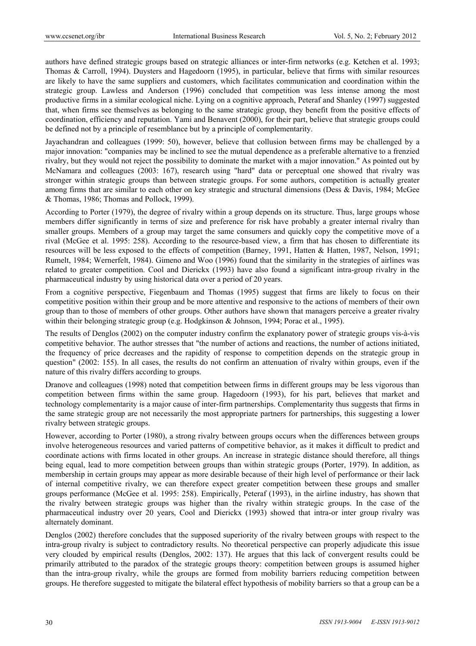authors have defined strategic groups based on strategic alliances or inter-firm networks (e.g. Ketchen et al. 1993; Thomas & Carroll, 1994). Duysters and Hagedoorn (1995), in particular, believe that firms with similar resources are likely to have the same suppliers and customers, which facilitates communication and coordination within the strategic group. Lawless and Anderson (1996) concluded that competition was less intense among the most productive firms in a similar ecological niche. Lying on a cognitive approach, Peteraf and Shanley (1997) suggested that, when firms see themselves as belonging to the same strategic group, they benefit from the positive effects of coordination, efficiency and reputation. Yami and Benavent (2000), for their part, believe that strategic groups could be defined not by a principle of resemblance but by a principle of complementarity.

Jayachandran and colleagues (1999: 50), however, believe that collusion between firms may be challenged by a major innovation: "companies may be inclined to see the mutual dependence as a preferable alternative to a frenzied rivalry, but they would not reject the possibility to dominate the market with a major innovation." As pointed out by McNamara and colleagues (2003: 167), research using "hard" data or perceptual one showed that rivalry was stronger within strategic groups than between strategic groups. For some authors, competition is actually greater among firms that are similar to each other on key strategic and structural dimensions (Dess & Davis, 1984; McGee & Thomas, 1986; Thomas and Pollock, 1999).

According to Porter (1979), the degree of rivalry within a group depends on its structure. Thus, large groups whose members differ significantly in terms of size and preference for risk have probably a greater internal rivalry than smaller groups. Members of a group may target the same consumers and quickly copy the competitive move of a rival (McGee et al. 1995: 258). According to the resource-based view, a firm that has chosen to differentiate its resources will be less exposed to the effects of competition (Barney, 1991, Hatten & Hatten, 1987, Nelson, 1991; Rumelt, 1984; Wernerfelt, 1984). Gimeno and Woo (1996) found that the similarity in the strategies of airlines was related to greater competition. Cool and Dierickx (1993) have also found a significant intra-group rivalry in the pharmaceutical industry by using historical data over a period of 20 years.

From a cognitive perspective, Fiegenbaum and Thomas (1995) suggest that firms are likely to focus on their competitive position within their group and be more attentive and responsive to the actions of members of their own group than to those of members of other groups. Other authors have shown that managers perceive a greater rivalry within their belonging strategic group (e.g. Hodgkinson & Johnson, 1994; Porac et al., 1995).

The results of Denglos (2002) on the computer industry confirm the explanatory power of strategic groups vis-à-vis competitive behavior. The author stresses that "the number of actions and reactions, the number of actions initiated, the frequency of price decreases and the rapidity of response to competition depends on the strategic group in question" (2002: 155). In all cases, the results do not confirm an attenuation of rivalry within groups, even if the nature of this rivalry differs according to groups.

Dranove and colleagues (1998) noted that competition between firms in different groups may be less vigorous than competition between firms within the same group. Hagedoorn (1993), for his part, believes that market and technology complementarity is a major cause of inter-firm partnerships. Complementarity thus suggests that firms in the same strategic group are not necessarily the most appropriate partners for partnerships, this suggesting a lower rivalry between strategic groups.

However, according to Porter (1980), a strong rivalry between groups occurs when the differences between groups involve heterogeneous resources and varied patterns of competitive behavior, as it makes it difficult to predict and coordinate actions with firms located in other groups. An increase in strategic distance should therefore, all things being equal, lead to more competition between groups than within strategic groups (Porter, 1979). In addition, as membership in certain groups may appear as more desirable because of their high level of performance or their lack of internal competitive rivalry, we can therefore expect greater competition between these groups and smaller groups performance (McGee et al. 1995: 258). Empirically, Peteraf (1993), in the airline industry, has shown that the rivalry between strategic groups was higher than the rivalry within strategic groups. In the case of the pharmaceutical industry over 20 years, Cool and Dierickx (1993) showed that intra-or inter group rivalry was alternately dominant.

Denglos (2002) therefore concludes that the supposed superiority of the rivalry between groups with respect to the intra-group rivalry is subject to contradictory results. No theoretical perspective can properly adjudicate this issue very clouded by empirical results (Denglos, 2002: 137). He argues that this lack of convergent results could be primarily attributed to the paradox of the strategic groups theory: competition between groups is assumed higher than the intra-group rivalry, while the groups are formed from mobility barriers reducing competition between groups. He therefore suggested to mitigate the bilateral effect hypothesis of mobility barriers so that a group can be a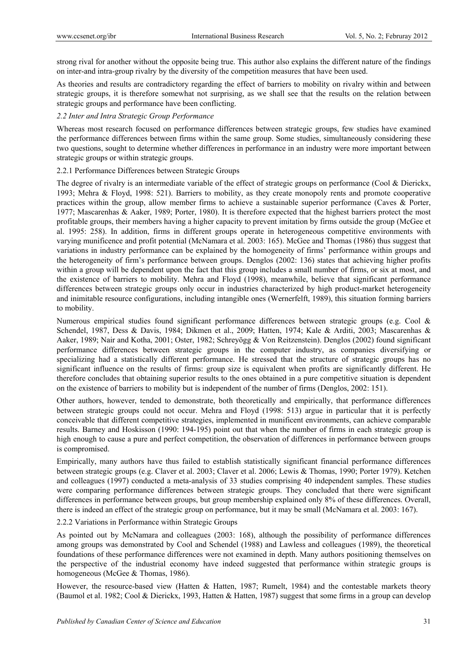strong rival for another without the opposite being true. This author also explains the different nature of the findings on inter-and intra-group rivalry by the diversity of the competition measures that have been used.

As theories and results are contradictory regarding the effect of barriers to mobility on rivalry within and between strategic groups, it is therefore somewhat not surprising, as we shall see that the results on the relation between strategic groups and performance have been conflicting.

### *2.2 Inter and Intra Strategic Group Performance*

Whereas most research focused on performance differences between strategic groups, few studies have examined the performance differences between firms within the same group. Some studies, simultaneously considering these two questions, sought to determine whether differences in performance in an industry were more important between strategic groups or within strategic groups.

# 2.2.1 Performance Differences between Strategic Groups

The degree of rivalry is an intermediate variable of the effect of strategic groups on performance (Cool & Dierickx, 1993; Mehra & Floyd, 1998: 521). Barriers to mobility, as they create monopoly rents and promote cooperative practices within the group, allow member firms to achieve a sustainable superior performance (Caves & Porter, 1977; Mascarenhas & Aaker, 1989; Porter, 1980). It is therefore expected that the highest barriers protect the most profitable groups, their members having a higher capacity to prevent imitation by firms outside the group (McGee et al. 1995: 258). In addition, firms in different groups operate in heterogeneous competitive environments with varying munificence and profit potential (McNamara et al. 2003: 165). McGee and Thomas (1986) thus suggest that variations in industry performance can be explained by the homogeneity of firms' performance within groups and the heterogeneity of firm's performance between groups. Denglos (2002: 136) states that achieving higher profits within a group will be dependent upon the fact that this group includes a small number of firms, or six at most, and the existence of barriers to mobility. Mehra and Floyd (1998), meanwhile, believe that significant performance differences between strategic groups only occur in industries characterized by high product-market heterogeneity and inimitable resource configurations, including intangible ones (Wernerfelft, 1989), this situation forming barriers to mobility.

Numerous empirical studies found significant performance differences between strategic groups (e.g. Cool & Schendel, 1987, Dess & Davis, 1984; Dikmen et al., 2009; Hatten, 1974; Kale & Arditi, 2003; Mascarenhas & Aaker, 1989; Nair and Kotha, 2001; Oster, 1982; Schreyögg & Von Reitzenstein). Denglos (2002) found significant performance differences between strategic groups in the computer industry, as companies diversifying or specializing had a statistically different performance. He stressed that the structure of strategic groups has no significant influence on the results of firms: group size is equivalent when profits are significantly different. He therefore concludes that obtaining superior results to the ones obtained in a pure competitive situation is dependent on the existence of barriers to mobility but is independent of the number of firms (Denglos, 2002: 151).

Other authors, however, tended to demonstrate, both theoretically and empirically, that performance differences between strategic groups could not occur. Mehra and Floyd (1998: 513) argue in particular that it is perfectly conceivable that different competitive strategies, implemented in munificent environments, can achieve comparable results. Barney and Hoskisson (1990: 194-195) point out that when the number of firms in each strategic group is high enough to cause a pure and perfect competition, the observation of differences in performance between groups is compromised.

Empirically, many authors have thus failed to establish statistically significant financial performance differences between strategic groups (e.g. Claver et al. 2003; Claver et al. 2006; Lewis & Thomas, 1990; Porter 1979). Ketchen and colleagues (1997) conducted a meta-analysis of 33 studies comprising 40 independent samples. These studies were comparing performance differences between strategic groups. They concluded that there were significant differences in performance between groups, but group membership explained only 8% of these differences. Overall, there is indeed an effect of the strategic group on performance, but it may be small (McNamara et al. 2003: 167).

2.2.2 Variations in Performance within Strategic Groups

As pointed out by McNamara and colleagues (2003: 168), although the possibility of performance differences among groups was demonstrated by Cool and Schendel (1988) and Lawless and colleagues (1989), the theoretical foundations of these performance differences were not examined in depth. Many authors positioning themselves on the perspective of the industrial economy have indeed suggested that performance within strategic groups is homogeneous (McGee & Thomas, 1986).

However, the resource-based view (Hatten & Hatten, 1987; Rumelt, 1984) and the contestable markets theory (Baumol et al. 1982; Cool & Dierickx, 1993, Hatten & Hatten, 1987) suggest that some firms in a group can develop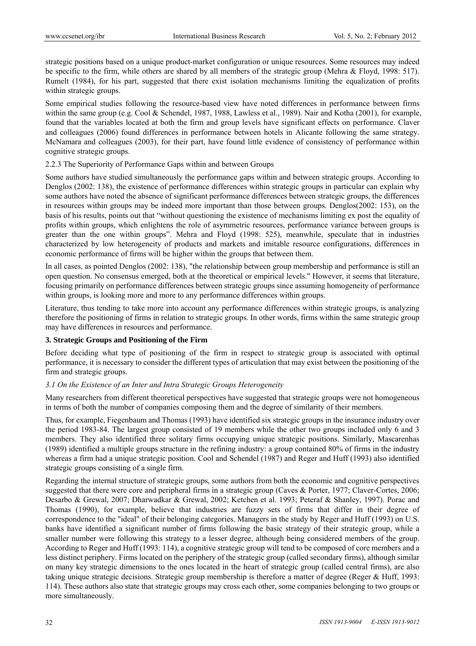strategic positions based on a unique product-market configuration or unique resources. Some resources may indeed be specific to the firm, while others are shared by all members of the strategic group (Mehra & Floyd, 1998: 517). Rumelt (1984), for his part, suggested that there exist isolation mechanisms limiting the equalization of profits within strategic groups.

Some empirical studies following the resource-based view have noted differences in performance between firms within the same group (e.g. Cool & Schendel, 1987, 1988, Lawless et al., 1989). Nair and Kotha (2001), for example, found that the variables located at both the firm and group levels have significant effects on performance. Claver and colleagues (2006) found differences in performance between hotels in Alicante following the same strategy. McNamara and colleagues (2003), for their part, have found little evidence of consistency of performance within cognitive strategic groups.

#### 2.2.3 The Superiority of Performance Gaps within and between Groups

Some authors have studied simultaneously the performance gaps within and between strategic groups. According to Denglos (2002: 138), the existence of performance differences within strategic groups in particular can explain why some authors have noted the absence of significant performance differences between strategic groups, the differences in resources within groups may be indeed more important than those between groups. Denglos(2002: 153), on the basis of his results, points out that "without questioning the existence of mechanisms limiting ex post the equality of profits within groups, which enlightens the role of asymmetric resources, performance variance between groups is greater than the one within groups". Mehra and Floyd (1998: 525), meanwhile, speculate that in industries characterized by low heterogeneity of products and markets and imitable resource configurations, differences in economic performance of firms will be higher within the groups that between them.

In all cases, as pointed Denglos (2002: 138), "the relationship between group membership and performance is still an open question. No consensus emerged, both at the theoretical or empirical levels." However, it seems that literature, focusing primarily on performance differences between strategic groups since assuming homogeneity of performance within groups, is looking more and more to any performance differences within groups.

Literature, thus tending to take more into account any performance differences within strategic groups, is analyzing therefore the positioning of firms in relation to strategic groups. In other words, firms within the same strategic group may have differences in resources and performance.

#### **3. Strategic Groups and Positioning of the Firm**

Before deciding what type of positioning of the firm in respect to strategic group is associated with optimal performance, it is necessary to consider the different types of articulation that may exist between the positioning of the firm and strategic groups.

#### *3.1 On the Existence of an Inter and Intra Strategic Groups Heterogeneity*

Many researchers from different theoretical perspectives have suggested that strategic groups were not homogeneous in terms of both the number of companies composing them and the degree of similarity of their members.

Thus, for example, Fiegenbaum and Thomas (1993) have identified six strategic groups in the insurance industry over the period 1983-84. The largest group consisted of 19 members while the other two groups included only 6 and 3 members. They also identified three solitary firms occupying unique strategic positions. Similarly, Mascarenhas (1989) identified a multiple groups structure in the refining industry: a group contained 80% of firms in the industry whereas a firm had a unique strategic position. Cool and Schendel (1987) and Reger and Huff (1993) also identified strategic groups consisting of a single firm.

Regarding the internal structure of strategic groups, some authors from both the economic and cognitive perspectives suggested that there were core and peripheral firms in a strategic group (Caves & Porter, 1977; Claver-Cortes, 2006; Desarbo & Grewal, 2007; Dharwadkar & Grewal, 2002; Ketchen et al. 1993; Peteraf & Shanley, 1997). Porac and Thomas (1990), for example, believe that industries are fuzzy sets of firms that differ in their degree of correspondence to the "ideal" of their belonging categories. Managers in the study by Reger and Huff (1993) on U.S. banks have identified a significant number of firms following the basic strategy of their strategic group, while a smaller number were following this strategy to a lesser degree, although being considered members of the group. According to Reger and Huff (1993: 114), a cognitive strategic group will tend to be composed of core members and a less distinct periphery. Firms located on the periphery of the strategic group (called secondary firms), although similar on many key strategic dimensions to the ones located in the heart of strategic group (called central firms), are also taking unique strategic decisions. Strategic group membership is therefore a matter of degree (Reger & Huff, 1993: 114). These authors also state that strategic groups may cross each other, some companies belonging to two groups or more simultaneously.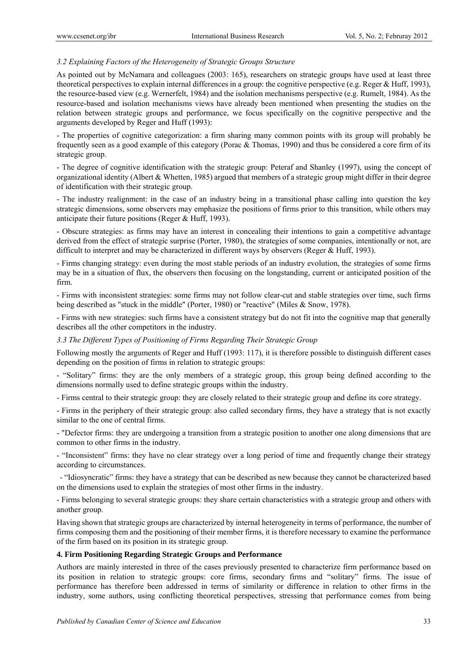### *3.2 Explaining Factors of the Heterogeneity of Strategic Groups Structure*

As pointed out by McNamara and colleagues (2003: 165), researchers on strategic groups have used at least three theoretical perspectives to explain internal differences in a group: the cognitive perspective (e.g. Reger & Huff, 1993), the resource-based view (e.g. Wernerfelt, 1984) and the isolation mechanisms perspective (e.g. Rumelt, 1984). As the resource-based and isolation mechanisms views have already been mentioned when presenting the studies on the relation between strategic groups and performance, we focus specifically on the cognitive perspective and the arguments developed by Reger and Huff (1993):

- The properties of cognitive categorization: a firm sharing many common points with its group will probably be frequently seen as a good example of this category (Porac  $\&$  Thomas, 1990) and thus be considered a core firm of its strategic group.

- The degree of cognitive identification with the strategic group: Peteraf and Shanley (1997), using the concept of organizational identity (Albert & Whetten, 1985) argued that members of a strategic group might differ in their degree of identification with their strategic group.

- The industry realignment: in the case of an industry being in a transitional phase calling into question the key strategic dimensions, some observers may emphasize the positions of firms prior to this transition, while others may anticipate their future positions (Reger & Huff, 1993).

- Obscure strategies: as firms may have an interest in concealing their intentions to gain a competitive advantage derived from the effect of strategic surprise (Porter, 1980), the strategies of some companies, intentionally or not, are difficult to interpret and may be characterized in different ways by observers (Reger & Huff, 1993).

- Firms changing strategy: even during the most stable periods of an industry evolution, the strategies of some firms may be in a situation of flux, the observers then focusing on the longstanding, current or anticipated position of the firm.

- Firms with inconsistent strategies: some firms may not follow clear-cut and stable strategies over time, such firms being described as "stuck in the middle" (Porter, 1980) or "reactive" (Miles & Snow, 1978).

- Firms with new strategies: such firms have a consistent strategy but do not fit into the cognitive map that generally describes all the other competitors in the industry.

#### *3.3 The Different Types of Positioning of Firms Regarding Their Strategic Group*

Following mostly the arguments of Reger and Huff (1993: 117), it is therefore possible to distinguish different cases depending on the position of firms in relation to strategic groups:

- "Solitary" firms: they are the only members of a strategic group, this group being defined according to the dimensions normally used to define strategic groups within the industry.

- Firms central to their strategic group: they are closely related to their strategic group and define its core strategy.

- Firms in the periphery of their strategic group: also called secondary firms, they have a strategy that is not exactly similar to the one of central firms.

- "Defector firms: they are undergoing a transition from a strategic position to another one along dimensions that are common to other firms in the industry.

- "Inconsistent" firms: they have no clear strategy over a long period of time and frequently change their strategy according to circumstances.

 - "Idiosyncratic" firms: they have a strategy that can be described as new because they cannot be characterized based on the dimensions used to explain the strategies of most other firms in the industry.

- Firms belonging to several strategic groups: they share certain characteristics with a strategic group and others with another group.

Having shown that strategic groups are characterized by internal heterogeneity in terms of performance, the number of firms composing them and the positioning of their member firms, it is therefore necessary to examine the performance of the firm based on its position in its strategic group.

# **4. Firm Positioning Regarding Strategic Groups and Performance**

Authors are mainly interested in three of the cases previously presented to characterize firm performance based on its position in relation to strategic groups: core firms, secondary firms and "solitary" firms. The issue of performance has therefore been addressed in terms of similarity or difference in relation to other firms in the industry, some authors, using conflicting theoretical perspectives, stressing that performance comes from being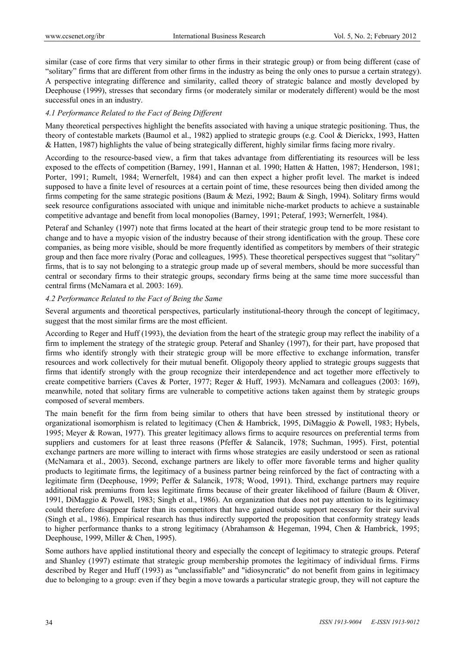similar (case of core firms that very similar to other firms in their strategic group) or from being different (case of "solitary" firms that are different from other firms in the industry as being the only ones to pursue a certain strategy). A perspective integrating difference and similarity, called theory of strategic balance and mostly developed by Deephouse (1999), stresses that secondary firms (or moderately similar or moderately different) would be the most successful ones in an industry.

# *4.1 Performance Related to the Fact of Being Different*

Many theoretical perspectives highlight the benefits associated with having a unique strategic positioning. Thus, the theory of contestable markets (Baumol et al., 1982) applied to strategic groups (e.g. Cool & Dierickx, 1993, Hatten & Hatten, 1987) highlights the value of being strategically different, highly similar firms facing more rivalry.

According to the resource-based view, a firm that takes advantage from differentiating its resources will be less exposed to the effects of competition (Barney, 1991, Hannan et al. 1990; Hatten & Hatten, 1987; Henderson, 1981; Porter, 1991; Rumelt, 1984; Wernerfelt, 1984) and can then expect a higher profit level. The market is indeed supposed to have a finite level of resources at a certain point of time, these resources being then divided among the firms competing for the same strategic positions (Baum & Mezi, 1992; Baum & Singh, 1994). Solitary firms would seek resource configurations associated with unique and inimitable niche-market products to achieve a sustainable competitive advantage and benefit from local monopolies (Barney, 1991; Peteraf, 1993; Wernerfelt, 1984).

Peteraf and Schanley (1997) note that firms located at the heart of their strategic group tend to be more resistant to change and to have a myopic vision of the industry because of their strong identification with the group. These core companies, as being more visible, should be more frequently identified as competitors by members of their strategic group and then face more rivalry (Porac and colleagues, 1995). These theoretical perspectives suggest that "solitary" firms, that is to say not belonging to a strategic group made up of several members, should be more successful than central or secondary firms to their strategic groups, secondary firms being at the same time more successful than central firms (McNamara et al. 2003: 169).

#### *4.2 Performance Related to the Fact of Being the Same*

Several arguments and theoretical perspectives, particularly institutional-theory through the concept of legitimacy, suggest that the most similar firms are the most efficient.

According to Reger and Huff (1993), the deviation from the heart of the strategic group may reflect the inability of a firm to implement the strategy of the strategic group. Peteraf and Shanley (1997), for their part, have proposed that firms who identify strongly with their strategic group will be more effective to exchange information, transfer resources and work collectively for their mutual benefit. Oligopoly theory applied to strategic groups suggests that firms that identify strongly with the group recognize their interdependence and act together more effectively to create competitive barriers (Caves & Porter, 1977; Reger & Huff, 1993). McNamara and colleagues (2003: 169), meanwhile, noted that solitary firms are vulnerable to competitive actions taken against them by strategic groups composed of several members.

The main benefit for the firm from being similar to others that have been stressed by institutional theory or organizational isomorphism is related to legitimacy (Chen & Hambrick, 1995, DiMaggio & Powell, 1983; Hybels, 1995; Meyer & Rowan, 1977). This greater legitimacy allows firms to acquire resources on preferential terms from suppliers and customers for at least three reasons (Pfeffer & Salancik, 1978; Suchman, 1995). First, potential exchange partners are more willing to interact with firms whose strategies are easily understood or seen as rational (McNamara et al., 2003). Second, exchange partners are likely to offer more favorable terms and higher quality products to legitimate firms, the legitimacy of a business partner being reinforced by the fact of contracting with a legitimate firm (Deephouse, 1999; Peffer & Salancik, 1978; Wood, 1991). Third, exchange partners may require additional risk premiums from less legitimate firms because of their greater likelihood of failure (Baum & Oliver, 1991, DiMaggio & Powell, 1983; Singh et al., 1986). An organization that does not pay attention to its legitimacy could therefore disappear faster than its competitors that have gained outside support necessary for their survival (Singh et al., 1986). Empirical research has thus indirectly supported the proposition that conformity strategy leads to higher performance thanks to a strong legitimacy (Abrahamson & Hegeman, 1994, Chen & Hambrick, 1995; Deephouse, 1999, Miller & Chen, 1995).

Some authors have applied institutional theory and especially the concept of legitimacy to strategic groups. Peteraf and Shanley (1997) estimate that strategic group membership promotes the legitimacy of individual firms. Firms described by Reger and Huff (1993) as "unclassifiable" and "idiosyncratic" do not benefit from gains in legitimacy due to belonging to a group: even if they begin a move towards a particular strategic group, they will not capture the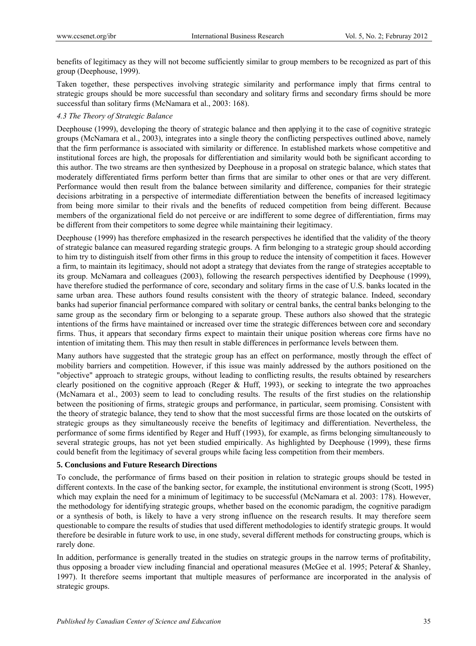benefits of legitimacy as they will not become sufficiently similar to group members to be recognized as part of this group (Deephouse, 1999).

Taken together, these perspectives involving strategic similarity and performance imply that firms central to strategic groups should be more successful than secondary and solitary firms and secondary firms should be more successful than solitary firms (McNamara et al., 2003: 168).

#### *4.3 The Theory of Strategic Balance*

Deephouse (1999), developing the theory of strategic balance and then applying it to the case of cognitive strategic groups (McNamara et al., 2003), integrates into a single theory the conflicting perspectives outlined above, namely that the firm performance is associated with similarity or difference. In established markets whose competitive and institutional forces are high, the proposals for differentiation and similarity would both be significant according to this author. The two streams are then synthesized by Deephouse in a proposal on strategic balance, which states that moderately differentiated firms perform better than firms that are similar to other ones or that are very different. Performance would then result from the balance between similarity and difference, companies for their strategic decisions arbitrating in a perspective of intermediate differentiation between the benefits of increased legitimacy from being more similar to their rivals and the benefits of reduced competition from being different. Because members of the organizational field do not perceive or are indifferent to some degree of differentiation, firms may be different from their competitors to some degree while maintaining their legitimacy.

Deephouse (1999) has therefore emphasized in the research perspectives he identified that the validity of the theory of strategic balance can measured regarding strategic groups. A firm belonging to a strategic group should according to him try to distinguish itself from other firms in this group to reduce the intensity of competition it faces. However a firm, to maintain its legitimacy, should not adopt a strategy that deviates from the range of strategies acceptable to its group. McNamara and colleagues (2003), following the research perspectives identified by Deephouse (1999), have therefore studied the performance of core, secondary and solitary firms in the case of U.S. banks located in the same urban area. These authors found results consistent with the theory of strategic balance. Indeed, secondary banks had superior financial performance compared with solitary or central banks, the central banks belonging to the same group as the secondary firm or belonging to a separate group. These authors also showed that the strategic intentions of the firms have maintained or increased over time the strategic differences between core and secondary firms. Thus, it appears that secondary firms expect to maintain their unique position whereas core firms have no intention of imitating them. This may then result in stable differences in performance levels between them.

Many authors have suggested that the strategic group has an effect on performance, mostly through the effect of mobility barriers and competition. However, if this issue was mainly addressed by the authors positioned on the "objective" approach to strategic groups, without leading to conflicting results, the results obtained by researchers clearly positioned on the cognitive approach (Reger & Huff, 1993), or seeking to integrate the two approaches (McNamara et al., 2003) seem to lead to concluding results. The results of the first studies on the relationship between the positioning of firms, strategic groups and performance, in particular, seem promising. Consistent with the theory of strategic balance, they tend to show that the most successful firms are those located on the outskirts of strategic groups as they simultaneously receive the benefits of legitimacy and differentiation. Nevertheless, the performance of some firms identified by Reger and Huff (1993), for example, as firms belonging simultaneously to several strategic groups, has not yet been studied empirically. As highlighted by Deephouse (1999), these firms could benefit from the legitimacy of several groups while facing less competition from their members.

#### **5. Conclusions and Future Research Directions**

To conclude, the performance of firms based on their position in relation to strategic groups should be tested in different contexts. In the case of the banking sector, for example, the institutional environment is strong (Scott, 1995) which may explain the need for a minimum of legitimacy to be successful (McNamara et al. 2003: 178). However, the methodology for identifying strategic groups, whether based on the economic paradigm, the cognitive paradigm or a synthesis of both, is likely to have a very strong influence on the research results. It may therefore seem questionable to compare the results of studies that used different methodologies to identify strategic groups. It would therefore be desirable in future work to use, in one study, several different methods for constructing groups, which is rarely done.

In addition, performance is generally treated in the studies on strategic groups in the narrow terms of profitability, thus opposing a broader view including financial and operational measures (McGee et al. 1995; Peteraf & Shanley, 1997). It therefore seems important that multiple measures of performance are incorporated in the analysis of strategic groups.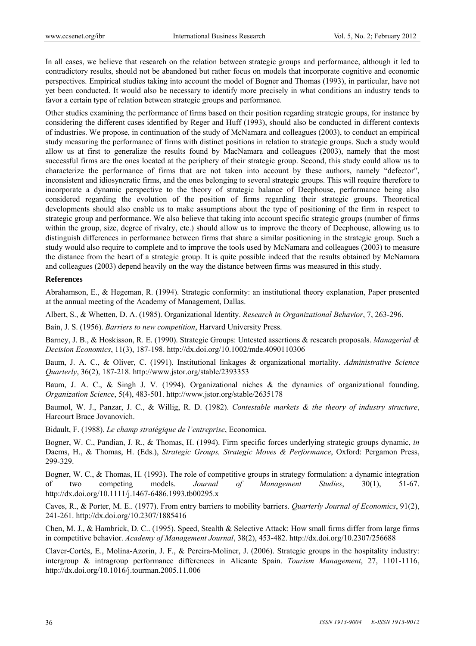In all cases, we believe that research on the relation between strategic groups and performance, although it led to contradictory results, should not be abandoned but rather focus on models that incorporate cognitive and economic perspectives. Empirical studies taking into account the model of Bogner and Thomas (1993), in particular, have not yet been conducted. It would also be necessary to identify more precisely in what conditions an industry tends to favor a certain type of relation between strategic groups and performance.

Other studies examining the performance of firms based on their position regarding strategic groups, for instance by considering the different cases identified by Reger and Huff (1993), should also be conducted in different contexts of industries. We propose, in continuation of the study of McNamara and colleagues (2003), to conduct an empirical study measuring the performance of firms with distinct positions in relation to strategic groups. Such a study would allow us at first to generalize the results found by MacNamara and colleagues (2003), namely that the most successful firms are the ones located at the periphery of their strategic group. Second, this study could allow us to characterize the performance of firms that are not taken into account by these authors, namely "defector", inconsistent and idiosyncratic firms, and the ones belonging to several strategic groups. This will require therefore to incorporate a dynamic perspective to the theory of strategic balance of Deephouse, performance being also considered regarding the evolution of the position of firms regarding their strategic groups. Theoretical developments should also enable us to make assumptions about the type of positioning of the firm in respect to strategic group and performance. We also believe that taking into account specific strategic groups (number of firms within the group, size, degree of rivalry, etc.) should allow us to improve the theory of Deephouse, allowing us to distinguish differences in performance between firms that share a similar positioning in the strategic group. Such a study would also require to complete and to improve the tools used by McNamara and colleagues (2003) to measure the distance from the heart of a strategic group. It is quite possible indeed that the results obtained by McNamara and colleagues (2003) depend heavily on the way the distance between firms was measured in this study.

#### **References**

Abrahamson, E., & Hegeman, R. (1994). Strategic conformity: an institutional theory explanation, Paper presented at the annual meeting of the Academy of Management, Dallas.

Albert, S., & Whetten, D. A. (1985). Organizational Identity. *Research in Organizational Behavior*, 7, 263-296.

Bain, J. S. (1956). *Barriers to new competition*, Harvard University Press.

Barney, J. B., & Hoskisson, R. E. (1990). Strategic Groups: Untested assertions & research proposals. *Managerial & Decision Economics*, 11(3), 187-198. http://dx.doi.org/10.1002/mde.4090110306

Baum, J. A. C., & Oliver, C. (1991). Institutional linkages & organizational mortality. *Administrative Science Quarterly*, 36(2), 187-218. http://www.jstor.org/stable/2393353

Baum, J. A. C., & Singh J. V. (1994). Organizational niches & the dynamics of organizational founding. *Organization Science*, 5(4), 483-501. http://www.jstor.org/stable/2635178

Baumol, W. J., Panzar, J. C., & Willig, R. D. (1982). *Contestable markets & the theory of industry structure*, Harcourt Brace Jovanovich.

Bidault, F. (1988). *Le champ stratégique de l'entreprise*, Economica.

Bogner, W. C., Pandian, J. R., & Thomas, H. (1994). Firm specific forces underlying strategic groups dynamic, *in* Daems, H., & Thomas, H. (Eds.), *Strategic Groups, Strategic Moves & Performance*, Oxford: Pergamon Press, 299-329.

Bogner, W. C., & Thomas, H. (1993). The role of competitive groups in strategy formulation: a dynamic integration of two competing models. *Journal of Management Studies*, 30(1), 51-67. http://dx.doi.org/10.1111/j.1467-6486.1993.tb00295.x

Caves, R., & Porter, M. E.. (1977). From entry barriers to mobility barriers. *Quarterly Journal of Economics*, 91(2), 241-261. http://dx.doi.org/10.2307/1885416

Chen, M. J., & Hambrick, D. C.. (1995). Speed, Stealth & Selective Attack: How small firms differ from large firms in competitive behavior. *Academy of Management Journal*, 38(2), 453-482. http://dx.doi.org/10.2307/256688

Claver-Cortés, E., Molina-Azorin, J. F., & Pereira-Moliner, J. (2006). Strategic groups in the hospitality industry: intergroup & intragroup performance differences in Alicante Spain. *Tourism Management*, 27, 1101-1116, http://dx.doi.org/10.1016/j.tourman.2005.11.006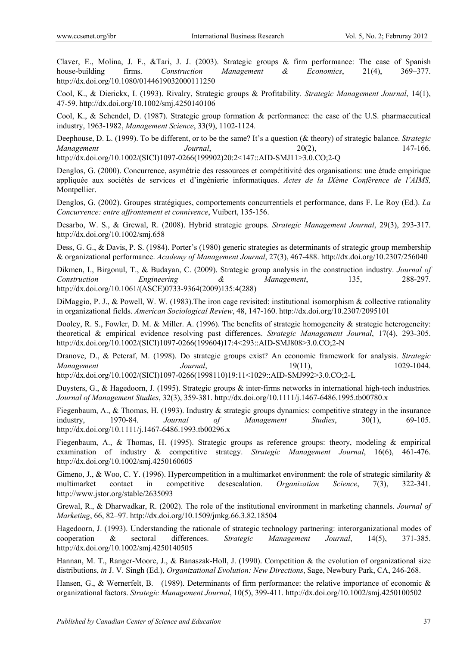Claver, E., Molina, J. F., &Tari, J. J. (2003). Strategic groups & firm performance: The case of Spanish house-building firms. *Construction Management & Economics*, 21(4), 369–377. http://dx.doi.org/10.1080/0144619032000111250

Cool, K., & Dierickx, I. (1993). Rivalry, Strategic groups & Profitability. *Strategic Management Journal*, 14(1), 47-59. http://dx.doi.org/10.1002/smj.4250140106

Cool, K., & Schendel, D. (1987). Strategic group formation & performance: the case of the U.S. pharmaceutical industry, 1963-1982, *Management Science*, 33(9), 1102-1124.

Deephouse, D. L. (1999). To be different, or to be the same? It's a question (& theory) of strategic balance. *Strategic Management Journal*, 20(2), 147-166. http://dx.doi.org/10.1002/(SICI)1097-0266(199902)20:2<147::AID-SMJ11>3.0.CO;2-Q

Denglos, G. (2000). Concurrence, asymétrie des ressources et compétitivité des organisations: une étude empirique appliquée aux sociétés de services et d'ingénierie informatiques. *Actes de la IXème Conférence de l'AIMS,*  Montpellier.

Denglos, G. (2002). Groupes stratégiques, comportements concurrentiels et performance, dans F. Le Roy (Ed.). *La Concurrence: entre affrontement et connivence*, Vuibert, 135-156.

Desarbo, W. S., & Grewal, R. (2008). Hybrid strategic groups. *Strategic Management Journal*, 29(3), 293-317. http://dx.doi.org/10.1002/smj.658

Dess, G. G., & Davis, P. S. (1984). Porter's (1980) generic strategies as determinants of strategic group membership & organizational performance. *Academy of Management Journal*, 27(3), 467-488. http://dx.doi.org/10.2307/256040

Dikmen, I., Birgonul, T., & Budayan, C. (2009). Strategic group analysis in the construction industry. *Journal of Construction Engineering & Management*, 135, 288-297. http://dx.doi.org/10.1061/(ASCE)0733-9364(2009)135:4(288)

DiMaggio, P. J., & Powell, W. W. (1983). The iron cage revisited: institutional isomorphism & collective rationality in organizational fields. *American Sociological Review*, 48, 147-160. http://dx.doi.org/10.2307/2095101

Dooley, R. S., Fowler, D. M. & Miller. A. (1996). The benefits of strategic homogeneity & strategic heterogeneity: theoretical & empirical evidence resolving past differences. *Strategic Management Journal*, 17(4), 293-305. http://dx.doi.org/10.1002/(SICI)1097-0266(199604)17:4<293::AID-SMJ808>3.0.CO;2-N

Dranove, D., & Peteraf, M. (1998). Do strategic groups exist? An economic framework for analysis. *Strategic Management Journal*, 19(11), 1029-1044. http://dx.doi.org/10.1002/(SICI)1097-0266(1998110)19:11<1029::AID-SMJ992>3.0.CO;2-L

Duysters, G., & Hagedoorn, J. (1995). Strategic groups & inter-firms networks in international high-tech industries*. Journal of Management Studies*, 32(3), 359-381. http://dx.doi.org/10.1111/j.1467-6486.1995.tb00780.x

Fiegenbaum, A., & Thomas, H. (1993). Industry & strategic groups dynamics: competitive strategy in the insurance industry, 1970-84. *Journal of Management Studies*, 30(1), 69-105. http://dx.doi.org/10.1111/j.1467-6486.1993.tb00296.x

Fiegenbaum, A., & Thomas, H. (1995). Strategic groups as reference groups: theory, modeling & empirical examination of industry & competitive strategy. *Strategic Management Journal*, 16(6), 461-476. http://dx.doi.org/10.1002/smj.4250160605

Gimeno, J., & Woo, C. Y. (1996). Hypercompetition in a multimarket environment: the role of strategic similarity & multimarket contact in competitive desescalation. *Organization Science*, 7(3), 322-341. http://www.jstor.org/stable/2635093

Grewal, R., & Dharwadkar, R. (2002). The role of the institutional environment in marketing channels. *Journal of Marketing*, 66, 82–97. http://dx.doi.org/10.1509/jmkg.66.3.82.18504

Hagedoorn, J. (1993). Understanding the rationale of strategic technology partnering: interorganizational modes of cooperation & sectoral differences. *Strategic Management Journal*, 14(5), 371-385. http://dx.doi.org/10.1002/smj.4250140505

Hannan, M. T., Ranger-Moore, J., & Banaszak-Holl, J. (1990). Competition & the evolution of organizational size distributions, *in* J. V. Singh (Ed.), *Organizational Evolution: New Directions*, Sage, Newbury Park, CA, 246-268.

Hansen, G., & Wernerfelt, B. (1989). Determinants of firm performance: the relative importance of economic & organizational factors. *Strategic Management Journal*, 10(5), 399-411. http://dx.doi.org/10.1002/smj.4250100502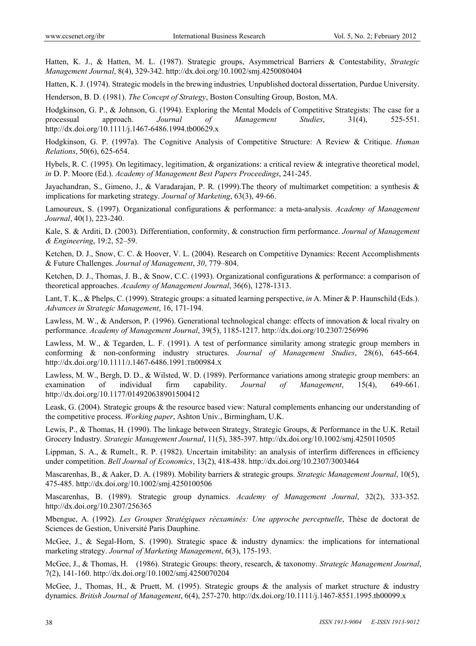Hatten, K. J., & Hatten, M. L. (1987). Strategic groups, Asymmetrical Barriers & Contestability, *Strategic Management Journal*, 8(4), 329-342. http://dx.doi.org/10.1002/smj.4250080404

Hatten, K. J. (1974). Strategic models in the brewing industries*,* Unpublished doctoral dissertation, Purdue University.

Henderson, B. D. (1981). *The Concept of Strategy*, Boston Consulting Group, Boston, MA.

Hodgkinson, G. P., & Johnson, G. (1994). Exploring the Mental Models of Competitive Strategists: The case for a processual approach. *Journal of Management Studies*, 31(4), 525-551. http://dx.doi.org/10.1111/j.1467-6486.1994.tb00629.x

Hodgkinson, G. P. (1997a). The Cognitive Analysis of Competitive Structure: A Review & Critique. *Human Relations*, 50(6), 625-654.

Hybels, R. C. (1995). On legitimacy, legitimation, & organizations: a critical review & integrative theoretical model, *in* D. P. Moore (Ed.). *Academy of Management Best Papers Proceedings*, 241-245.

Jayachandran, S., Gimeno, J., & Varadarajan, P. R. (1999).The theory of multimarket competition: a synthesis & implications for marketing strategy. *Journal of Marketing*, 63(3), 49-66.

Lamoureux, S. (1997). Organizational configurations & performance: a meta-analysis. *Academy of Management Journal*, 40(1), 223-240.

Kale, S. & Arditi, D. (2003). Differentiation, conformity, & construction firm performance. *Journal of Management & Engineering*, 19:2, 52–59.

Ketchen, D. J., Snow, C. C. & Hoover, V. L. (2004). Research on Competitive Dynamics: Recent Accomplishments & Future Challenges. *Journal of Management*, *30*, 779–804.

Ketchen, D. J., Thomas, J. B., & Snow, C.C. (1993). Organizational configurations & performance: a comparison of theoretical approaches. *Academy of Management Journal*, 36(6), 1278-1313.

Lant, T. K., & Phelps, C. (1999). Strategic groups: a situated learning perspective, *in* A. Miner & P. Haunschild (Eds.). *Advances in Strategic Management*, 16, 171-194.

Lawless, M. W., & Anderson, P. (1996). Generational technological change: effects of innovation & local rivalry on performance. *Academy of Management Journal*, 39(5), 1185-1217. http://dx.doi.org/10.2307/256996

Lawless, M. W., & Tegarden, L. F. (1991). A test of performance similarity among strategic group members in conforming & non-conforming industry structures. *Journal of Management Studies*, 28(6), 645-664. http://dx.doi.org/10.1111/J.1467-6486.1991.TB00984.X

Lawless, M. W., Bergh, D. D., & Wilsted, W. D. (1989). Performance variations among strategic group members: an examination of individual firm capability. *Journal of Management*, 15(4), 649-661. http://dx.doi.org/10.1177/014920638901500412

Leask, G. (2004). Strategic groups & the resource based view: Natural complements enhancing our understanding of the competitive process. *Working paper*, Ashton Univ., Birmingham, U.K.

Lewis, P., & Thomas, H. (1990). The linkage between Strategy, Strategic Groups, & Performance in the U.K. Retail Grocery Industry*. Strategic Management Journal*, 11(5), 385-397. http://dx.doi.org/10.1002/smj.4250110505

Lippman, S. A., & Rumelt., R. P. (1982). Uncertain imitability: an analysis of interfirm differences in efficiency under competition. *Bell Journal of Economics*, 13(2), 418-438. http://dx.doi.org/10.2307/3003464

Mascarenhas, B., & Aaker, D. A. (1989). Mobility barriers & strategic groups. *Strategic Management Journal*, 10(5), 475-485. http://dx.doi.org/10.1002/smj.4250100506

Mascarenhas, B. (1989). Strategic group dynamics. *Academy of Management Journal*, 32(2), 333-352. http://dx.doi.org/10.2307/256365

Mbengue, A. (1992). *Les Groupes Stratégiques réexaminés: Une approche perceptuelle*, Thèse de doctorat de Sciences de Gestion, Université Paris Dauphine.

McGee, J., & Segal-Horn, S. (1990). Strategic space & industry dynamics: the implications for international marketing strategy. *Journal of Marketing Management*, 6(3), 175-193.

McGee, J., & Thomas, H. (1986). Strategic Groups: theory, research, & taxonomy. *Strategic Management Journal*, 7(2), 141-160. http://dx.doi.org/10.1002/smj.4250070204

McGee, J., Thomas, H., & Pruett, M. (1995). Strategic groups & the analysis of market structure & industry dynamics. *British Journal of Management*, 6(4), 257-270. http://dx.doi.org/10.1111/j.1467-8551.1995.tb00099.x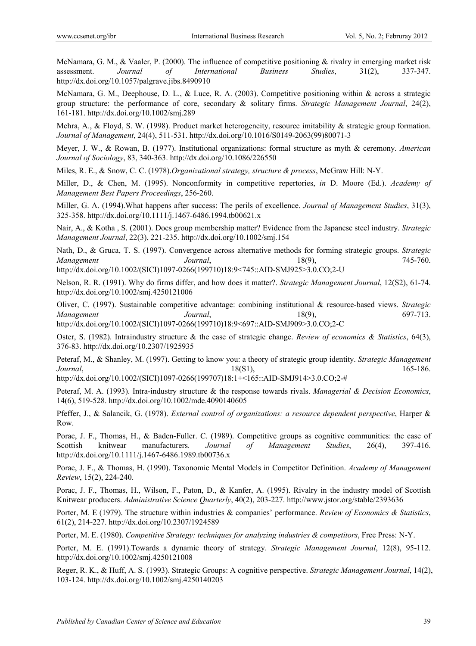McNamara, G. M., & Vaaler, P. (2000). The influence of competitive positioning & rivalry in emerging market risk assessment. *Journal of International Business Studies*, 31(2), 337-347. http://dx.doi.org/10.1057/palgrave.jibs.8490910

McNamara, G. M., Deephouse, D. L., & Luce, R. A. (2003). Competitive positioning within & across a strategic group structure: the performance of core, secondary & solitary firms. *Strategic Management Journal*, 24(2), 161-181. http://dx.doi.org/10.1002/smj.289

Mehra, A., & Floyd, S. W. (1998). Product market heterogeneity, resource imitability & strategic group formation. *Journal of Management*, 24(4), 511-531. http://dx.doi.org/10.1016/S0149-2063(99)80071-3

Meyer, J. W., & Rowan, B. (1977). Institutional organizations: formal structure as myth & ceremony. *American Journal of Sociology*, 83, 340-363. http://dx.doi.org/10.1086/226550

Miles, R. E., & Snow, C. C. (1978).*Organizational strategy, structure & process*, McGraw Hill: N-Y.

Miller, D., & Chen, M. (1995). Nonconformity in competitive repertories, *in* D. Moore (Ed.). *Academy of Management Best Papers Proceedings*, 256-260.

Miller, G. A. (1994).What happens after success: The perils of excellence. *Journal of Management Studies*, 31(3), 325-358. http://dx.doi.org/10.1111/j.1467-6486.1994.tb00621.x

Nair, A., & Kotha , S. (2001). Does group membership matter? Evidence from the Japanese steel industry. *Strategic Management Journal*, 22(3), 221-235. http://dx.doi.org/10.1002/smj.154

Nath, D., & Gruca, T. S. (1997). Convergence across alternative methods for forming strategic groups. *Strategic Management Journal*, 18(9), 745-760. http://dx.doi.org/10.1002/(SICI)1097-0266(199710)18:9<745::AID-SMJ925>3.0.CO;2-U

Nelson, R. R. (1991). Why do firms differ, and how does it matter?. *Strategic Management Journal*, 12(S2), 61-74. http://dx.doi.org/10.1002/smj.4250121006

Oliver, C. (1997). Sustainable competitive advantage: combining institutional & resource-based views. *Strategic Management* 518(9), 697-713. http://dx.doi.org/10.1002/(SICI)1097-0266(199710)18:9<697::AID-SMJ909>3.0.CO;2-C

Oster, S. (1982). Intraindustry structure & the ease of strategic change. *Review of economics & Statistics*, 64(3), 376-83. http://dx.doi.org/10.2307/1925935

Peteraf, M., & Shanley, M. (1997). Getting to know you: a theory of strategic group identity. *Strategic Management Journal*, 165-186.

http://dx.doi.org/10.1002/(SICI)1097-0266(199707)18:1+<165::AID-SMJ914>3.0.CO;2-#

Peteraf, M. A. (1993). Intra-industry structure & the response towards rivals. *Managerial & Decision Economics*, 14(6), 519-528. http://dx.doi.org/10.1002/mde.4090140605

Pfeffer, J., & Salancik, G. (1978). *External control of organizations: a resource dependent perspective*, Harper & Row.

Porac, J. F., Thomas, H., & Baden-Fuller. C. (1989). Competitive groups as cognitive communities: the case of Scottish knitwear manufacturers. *Journal of Management Studies*, 26(4), 397-416. http://dx.doi.org/10.1111/j.1467-6486.1989.tb00736.x

Porac, J. F., & Thomas, H. (1990). Taxonomic Mental Models in Competitor Definition. *Academy of Management Review*, 15(2), 224-240.

Porac, J. F., Thomas, H., Wilson, F., Paton, D., & Kanfer, A. (1995). Rivalry in the industry model of Scottish Knitwear producers. *Administrative Science Quarterly*, 40(2), 203-227. http://www.jstor.org/stable/2393636

Porter, M. E (1979). The structure within industries & companies' performance. *Review of Economics & Statistics*, 61(2), 214-227. http://dx.doi.org/10.2307/1924589

Porter, M. E. (1980). *Competitive Strategy: techniques for analyzing industries & competitors*, Free Press: N-Y.

Porter, M. E. (1991).Towards a dynamic theory of strategy. *Strategic Management Journal*, 12(8), 95-112. http://dx.doi.org/10.1002/smj.4250121008

Reger, R. K., & Huff, A. S. (1993). Strategic Groups: A cognitive perspective. *Strategic Management Journal*, 14(2), 103-124. http://dx.doi.org/10.1002/smj.4250140203